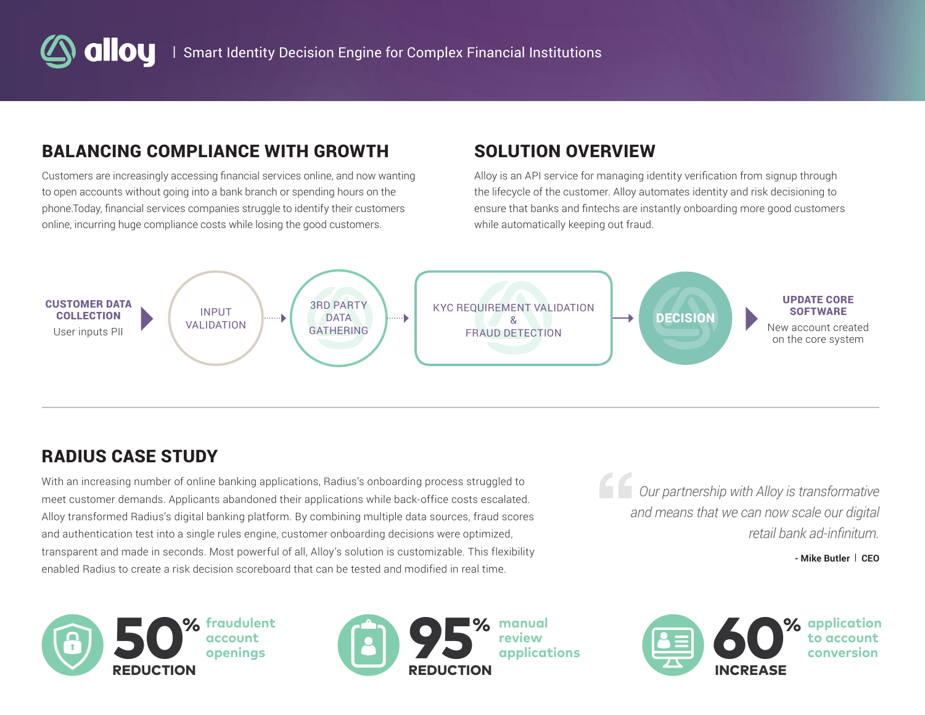# BALANCING COMPLIANCE WITH GROWTH

Customers are increasingly accessing financial services online, and now wanting to open accounts without going into a bank branch or spending hours on the phone.Today, financial services companies struggle to identify their customers online, incurring huge compliance costs while losing the good customers.

# SOLUTION OVERVIEW

Alloy is an API service for managing identity verification from signup through the lifecycle of the customer. Alloy automates identity and risk decisioning to ensure that banks and fintechs are instantly onboarding more good customers while automatically keeping out fraud.



# RADIUS CASE STUDY

With an increasing number of online banking applications, Radius's onboarding process struggled to meet customer demands. Applicants abandoned their applications while back-office costs escalated. Alloy transformed Radius's digital banking platform. By combining multiple data sources, fraud scores and authentication test into a single rules engine, customer onboarding decisions were optimized, transparent and made in seconds. Most powerful of all, Alloy's solution is customizable. This flexibility enabled Radius to create a risk decision scoreboard that can be tested and modified in real time.

*Our partnership with Alloy is transformative and means that we can now scale our digital retail bank ad-infinitum.*

**- Mike Butler** | **CEO**